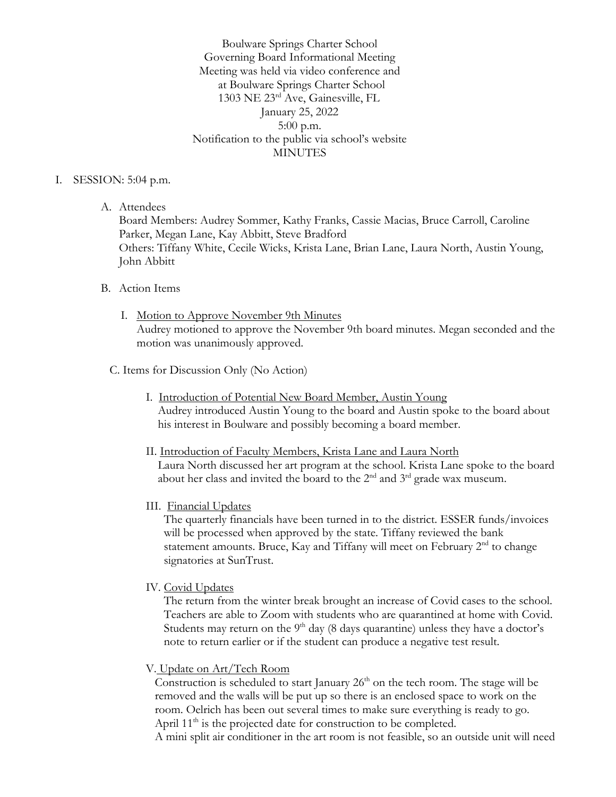Boulware Springs Charter School Governing Board Informational Meeting Meeting was held via video conference and at Boulware Springs Charter School 1303 NE 23rd Ave, Gainesville, FL January 25, 2022 5:00 p.m. Notification to the public via school's website **MINUTES** 

#### I. SESSION: 5:04 p.m.

A. Attendees

Board Members: Audrey Sommer, Kathy Franks, Cassie Macias, Bruce Carroll, Caroline Parker, Megan Lane, Kay Abbitt, Steve Bradford Others: Tiffany White, Cecile Wicks, Krista Lane, Brian Lane, Laura North, Austin Young, John Abbitt

#### B. Action Items

- I. Motion to Approve November 9th Minutes Audrey motioned to approve the November 9th board minutes. Megan seconded and the motion was unanimously approved.
- C. Items for Discussion Only (No Action)
	- I. Introduction of Potential New Board Member, Austin Young Audrey introduced Austin Young to the board and Austin spoke to the board about his interest in Boulware and possibly becoming a board member.
	- II. Introduction of Faculty Members, Krista Lane and Laura North Laura North discussed her art program at the school. Krista Lane spoke to the board about her class and invited the board to the 2nd and 3rd grade wax museum.
	- III. Financial Updates

 The quarterly financials have been turned in to the district. ESSER funds/invoices will be processed when approved by the state. Tiffany reviewed the bank statement amounts. Bruce, Kay and Tiffany will meet on February 2<sup>nd</sup> to change signatories at SunTrust.

IV. Covid Updates

 The return from the winter break brought an increase of Covid cases to the school. Teachers are able to Zoom with students who are quarantined at home with Covid. Students may return on the  $9<sup>th</sup>$  day (8 days quarantine) unless they have a doctor's note to return earlier or if the student can produce a negative test result.

V. Update on Art/Tech Room

Construction is scheduled to start January  $26<sup>th</sup>$  on the tech room. The stage will be removed and the walls will be put up so there is an enclosed space to work on the room. Oelrich has been out several times to make sure everything is ready to go. April 11<sup>th</sup> is the projected date for construction to be completed.

A mini split air conditioner in the art room is not feasible, so an outside unit will need